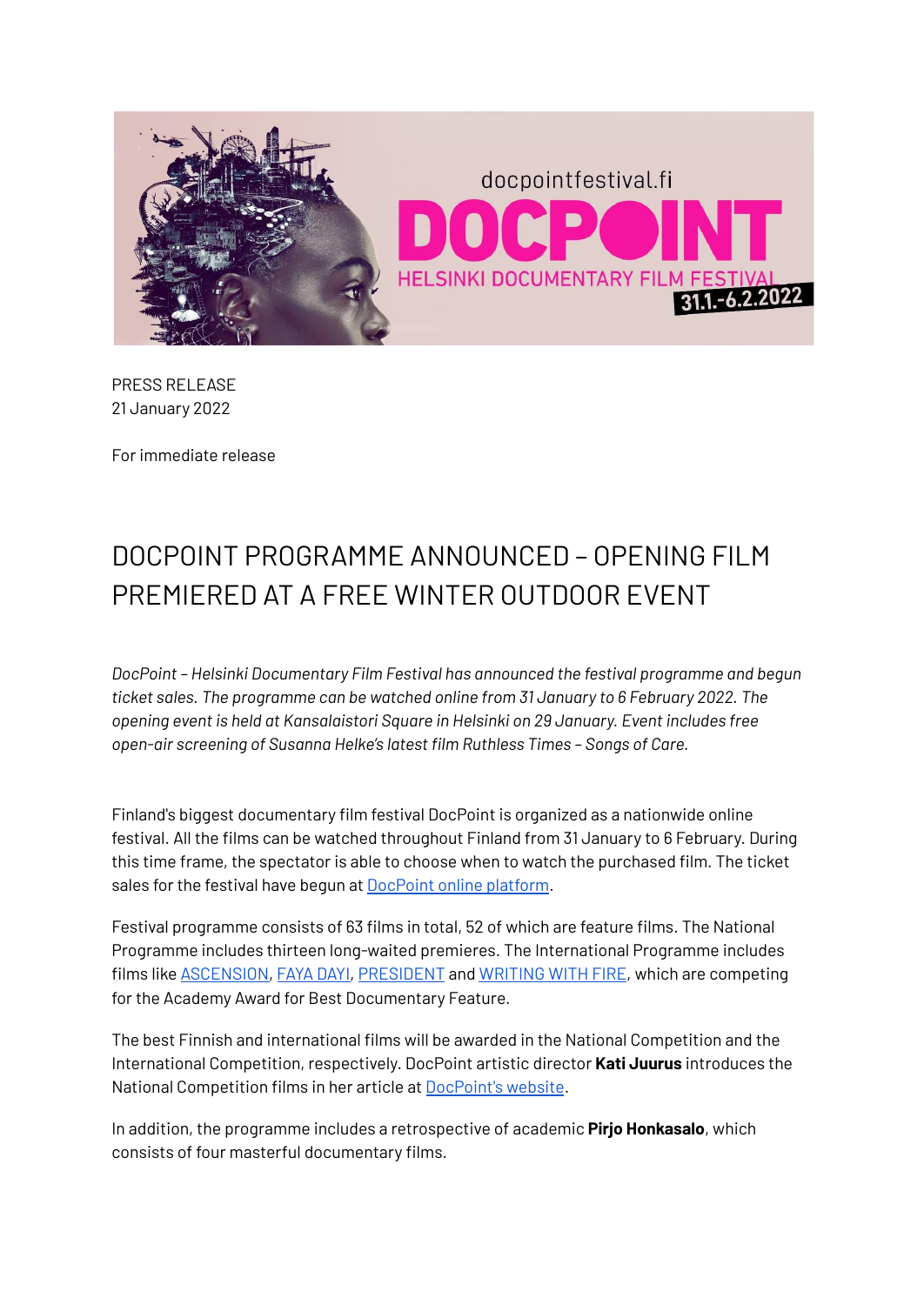

PRESS RELEASE 21 January 2022

For immediate release

## DOCPOINT PROGRAMME ANNOUNCED – OPENING FILM PREMIERED AT A FREE WINTER OUTDOOR EVENT

*DocPoint – Helsinki Documentary Film Festival has announced the festival programme and begun ticket sales. The programme can be watched online from 31 January to 6 February 2022. The opening event is held at Kansalaistori Square in Helsinki on 29 January. Event includes free open-air screening of Susanna Helke's latest film Ruthless Times – Songs of Care.*

Finland's biggest documentary film festival DocPoint is organized as a nationwide online festival. All the films can be watched throughout Finland from 31 January to 6 February. During this time frame, the spectator is able to choose when to watch the purchased film. The ticket sales for the festival have begun at **[DocPoint](https://docpointfestival.eventive.org/welcome) online platform.** 

Festival programme consists of 63 films in total, 52 of which are feature films. The National Programme includes thirteen long-waited premieres. The International Programme includes films like [ASCENSION,](https://docpointfestival.fi/en/event-en/ascension/) [FAYA](https://docpointfestival.fi/en/event-en/faya-dayi/) DAYI, [PRESIDENT](https://docpointfestival.fi/en/event-en/president/) and [WRITING](https://docpointfestival.fi/en/event-en/writing-with-fire/) WITH FIRE, which are competing for the Academy Award for Best Documentary Feature.

The best Finnish and international films will be awarded in the National Competition and the International Competition, respectively. DocPoint artistic director **Kati Juurus** introduces the National Competition films in her article at [DocPoint's](https://docpointfestival.fi/identiteetti-usko-ja-aktivismi-docpoint-elokuvat-luotaavat-maailmaa-kriisissa/) website.

In addition, the programme includes a retrospective of academic **Pirjo Honkasalo**, which consists of four masterful documentary films.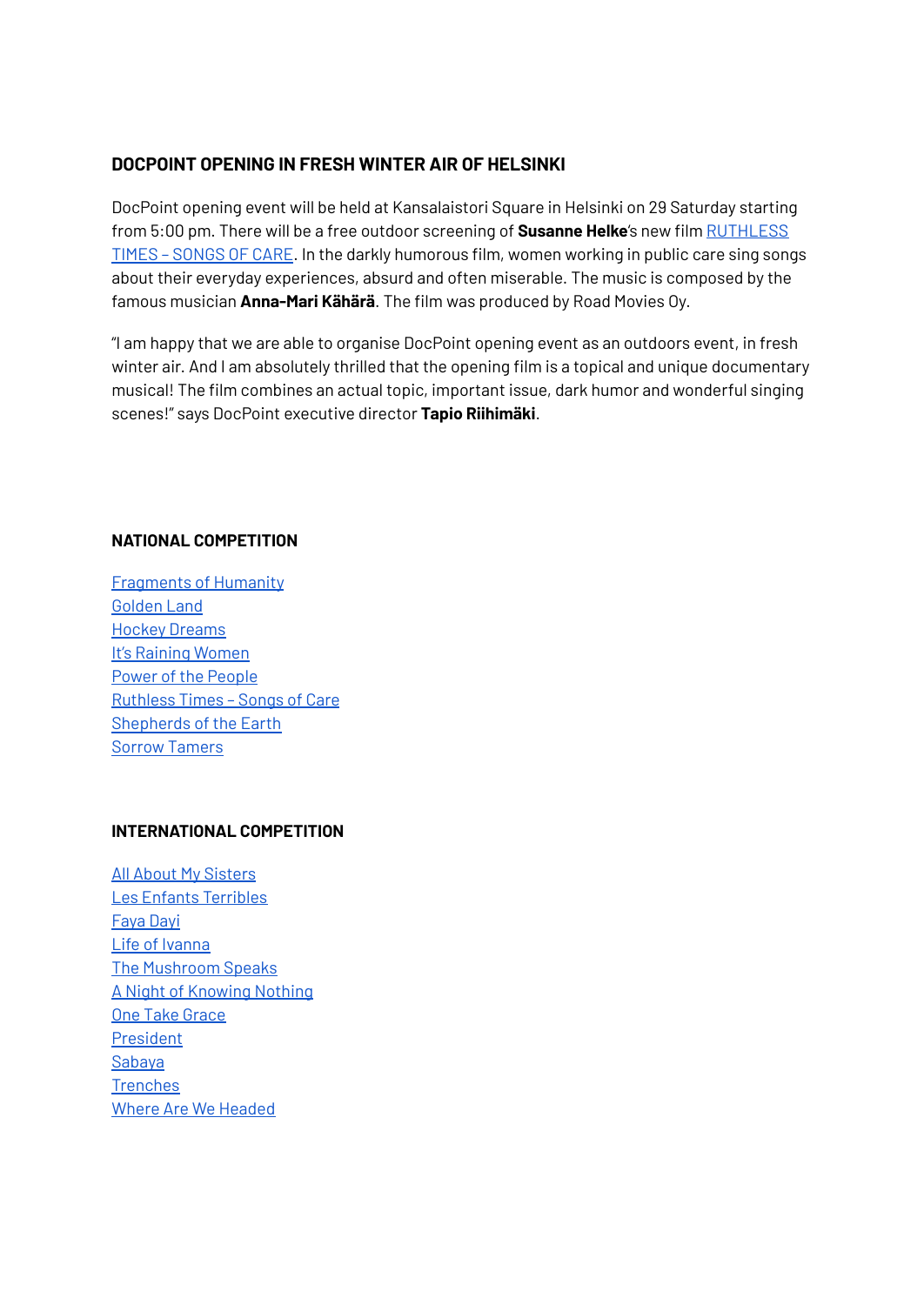## **DOCPOINT OPENING IN FRESH WINTER AIR OF HELSINKI**

DocPoint opening event will be held at Kansalaistori Square in Helsinki on 29 Saturday starting from 5:00 pm. There will be a free outdoor screening of **Susanne Helke**'s new film [RUTHLESS](https://docpointfestival.fi/en/event-en/ruthless-times-songs-of-care/) TIMES – [SONGS](https://docpointfestival.fi/en/event-en/ruthless-times-songs-of-care/) OF CARE. In the darkly humorous film, women working in public care sing songs about their everyday experiences, absurd and often miserable. The music is composed by the famous musician **Anna-Mari Kähärä**. The film was produced by Road Movies Oy.

"I am happy that we are able to organise DocPoint opening event as an outdoors event, in fresh winter air. And I am absolutely thrilled that the opening film is a topical and unique documentary musical! The film combines an actual topic, important issue, dark humor and wonderful singing scenes!" says DocPoint executive director **Tapio Riihimäki**.

## **NATIONAL COMPETITION**

[Fragments](https://docpointfestival.fi/en/event-en/fragments-of-humanity/) of Humanity [Golden](https://docpointfestival.fi/en/event-en/golden-land/) Land Hockey [Dreams](https://docpointfestival.fi/en/event-en/hockey-dreams/) It's Raining [Women](https://docpointfestival.fi/en/event-en/its-raining-women/) Power of the [People](https://docpointfestival.fi/en/event-en/power-of-the-people/) [Ruthless](https://docpointfestival.fi/en/event-en/ruthless-times-songs-of-care/) Times – Songs of Care [Shepherds](https://docpointfestival.fi/en/event-en/shepherds-of-the-earth/) of the Earth Sorrow [Tamers](https://docpointfestival.fi/en/event-en/sorrow-tamers/)

## **INTERNATIONAL COMPETITION**

All About My [Sisters](https://docpointfestival.fi/en/event-en/all-about-my-sisters/) Les Enfants [Terribles](https://docpointfestival.fi/en/event-en/les-enfants-terribles/) [Faya](https://docpointfestival.fi/en/event-en/faya-dayi/) Dayi Life of [Ivanna](https://docpointfestival.fi/en/event-en/life-of-ivanna/) The [Mushroom](https://docpointfestival.fi/en/event-en/the-mushroom-speaks/) Speaks A Night of [Knowing](https://docpointfestival.fi/en/event-en/a-night-of-knowing-nothing/) Nothing One Take [Grace](https://docpointfestival.fi/en/event-en/one-take-grace/) [President](https://docpointfestival.fi/en/event-en/president/) [Sabaya](https://docpointfestival.fi/en/event-en/sabaya/) **[Trenches](https://docpointfestival.fi/en/event-en/trenches/)** Where Are We [Headed](https://docpointfestival.fi/en/event-en/where-are-we-headed/)